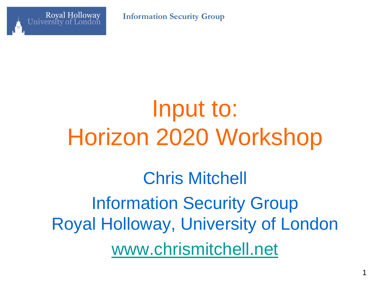

**Information Security Group**

#### Input to: Horizon 2020 Workshop

Chris Mitchell Information Security Group Royal Holloway, University of London [www.chrismitchell.net](http://www.chrismitchell.net/)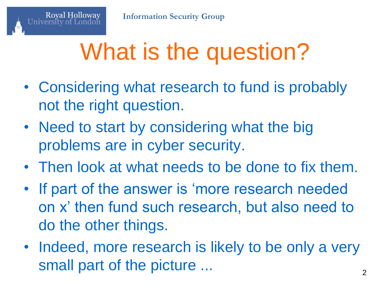### What is the question?

- Considering what research to fund is probably not the right question.
- Need to start by considering what the big problems are in cyber security.
- Then look at what needs to be done to fix them.
- If part of the answer is 'more research needed on x' then fund such research, but also need to do the other things.
- Indeed, more research is likely to be only a very small part of the picture ... 2012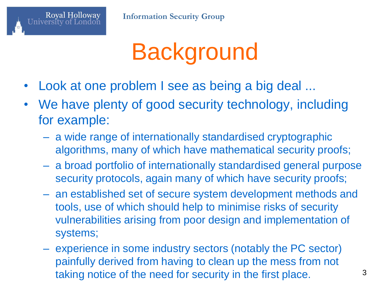

#### **Background**

- Look at one problem I see as being a big deal ...
- We have plenty of good security technology, including for example:
	- a wide range of internationally standardised cryptographic algorithms, many of which have mathematical security proofs;
	- a broad portfolio of internationally standardised general purpose security protocols, again many of which have security proofs;
	- an established set of secure system development methods and tools, use of which should help to minimise risks of security vulnerabilities arising from poor design and implementation of systems;
	- experience in some industry sectors (notably the PC sector) painfully derived from having to clean up the mess from not taking notice of the need for security in the first place.  $3^3$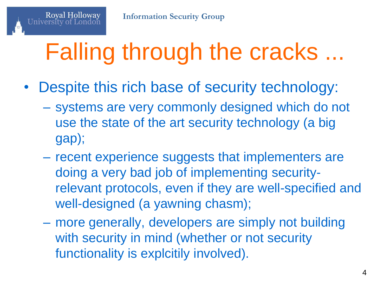# Falling through the cracks ...

- Despite this rich base of security technology:
	- systems are very commonly designed which do not use the state of the art security technology (a big gap);
	- recent experience suggests that implementers are doing a very bad job of implementing securityrelevant protocols, even if they are well-specified and well-designed (a yawning chasm);
	- more generally, developers are simply not building with security in mind (whether or not security functionality is explcitily involved).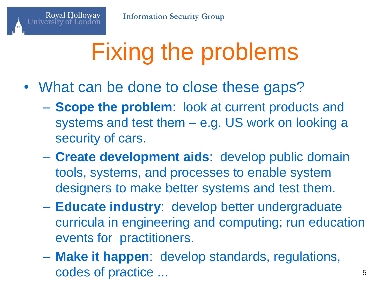# Fixing the problems

- What can be done to close these gaps?
	- **Scope the problem**: look at current products and systems and test them – e.g. US work on looking a security of cars.
	- **Create development aids**: develop public domain tools, systems, and processes to enable system designers to make better systems and test them.
	- **Educate industry**: develop better undergraduate curricula in engineering and computing; run education events for practitioners.
	- **Make it happen**: develop standards, regulations, codes of practice ... 5